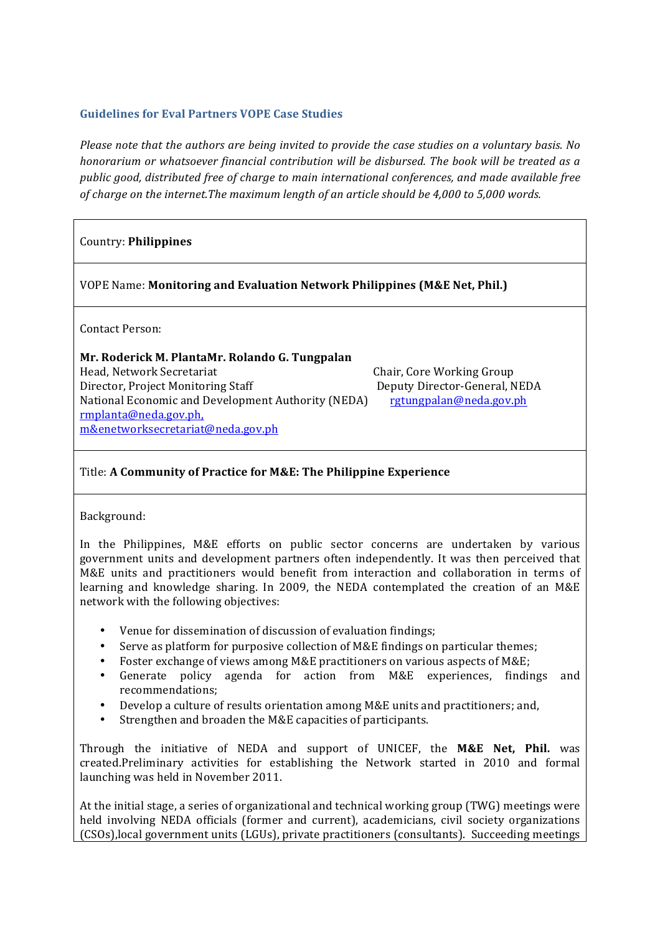### **Guidelines for Eval Partners VOPE Case Studies**

*Please note that the authors are being invited to provide the case studies on a voluntary basis. No* honorarium or whatsoever financial contribution will be disbursed. The book will be treated as a *public&good,&distributed&free&of&charge&to&main&international&conferences,&and&made&available&free& of charge on the internet.The maximum length of an article should be 4,000 to 5,000 words.* 

# Country: **Philippines**

VOPE Name: **Monitoring and Evaluation Network Philippines (M&E Net, Phil.)** 

Contact Person:

## **Mr.)Roderick)M.)PlantaMr.)Rolando)G.)Tungpalan**

Head, Network Secretariat **. It is a straight of the Secretariat** the Chair, Core Working Group Director, Project Monitoring Staff **1986** Integral Deputy Director-General, NEDA National Economic and Development Authority (NEDA) rgtungpalan@neda.gov.ph rmplanta@neda.gov.ph, m&enetworksecretariat@neda.gov.ph

## Title: A Community of Practice for M&E: The Philippine Experience

**1.** Background:

In the Philippines, M&E efforts on public sector concerns are undertaken by various government units and development partners often independently. It was then perceived that M&E units and practitioners would benefit from interaction and collaboration in terms of learning and knowledge sharing. In 2009, the NEDA contemplated the creation of an M&E network with the following objectives:

- Venue for dissemination of discussion of evaluation findings;
- Serve as platform for purposive collection of M&E findings on particular themes;
- Foster exchange of views among M&E practitioners on various aspects of M&E;
- Generate policy agenda for action from M&E experiences, findings and recommendations;
- Develop a culture of results orientation among M&E units and practitioners; and,
- Strengthen and broaden the M&E capacities of participants.

Through the initiative of NEDA and support of UNICEF, the M&E Net, Phil. was created.Preliminary activities for establishing the Network started in 2010 and formal launching was held in November 2011.

At the initial stage, a series of organizational and technical working group (TWG) meetings were held involving NEDA officials (former and current), academicians, civil society organizations (CSOs), local government units (LGUs), private practitioners (consultants). Succeeding meetings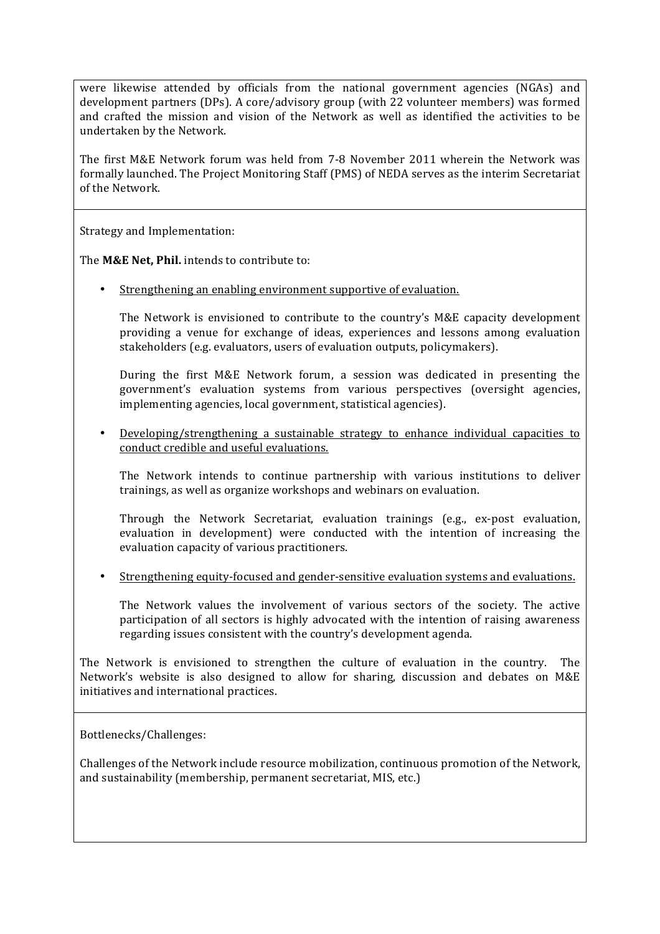were likewise attended by officials from the national government agencies (NGAs) and development partners (DPs). A core/advisory group (with 22 volunteer members) was formed and crafted the mission and vision of the Network as well as identified the activities to be undertaken by the Network.

The first M&E Network forum was held from 7-8 November 2011 wherein the Network was formally launched. The Project Monitoring Staff (PMS) of NEDA serves as the interim Secretariat of the Network.

Strategy and Implementation:

The **M&E Net, Phil.** intends to contribute to:

• Strengthening an enabling environment supportive of evaluation.

The Network is envisioned to contribute to the country's M&E capacity development providing a venue for exchange of ideas, experiences and lessons among evaluation stakeholders (e.g. evaluators, users of evaluation outputs, policymakers).

During the first M&E Network forum, a session was dedicated in presenting the government's evaluation systems from various perspectives (oversight agencies, implementing agencies, local government, statistical agencies).

Developing/strengthening a sustainable strategy to enhance individual capacities to conduct credible and useful evaluations.

The Network intends to continue partnership with various institutions to deliver trainings, as well as organize workshops and webinars on evaluation.

Through the Network Secretariat, evaluation trainings  $(e.g., ex-post evaluation,$ evaluation in development) were conducted with the intention of increasing the evaluation capacity of various practitioners.

Strengthening equity-focused and gender-sensitive evaluation systems and evaluations.

The Network values the involvement of various sectors of the society. The active participation of all sectors is highly advocated with the intention of raising awareness regarding issues consistent with the country's development agenda.

The Network is envisioned to strengthen the culture of evaluation in the country. The Network's website is also designed to allow for sharing, discussion and debates on M&E initiatives and international practices.

Bottlenecks/Challenges:

Challenges of the Network include resource mobilization, continuous promotion of the Network, and sustainability (membership, permanent secretariat, MIS, etc.)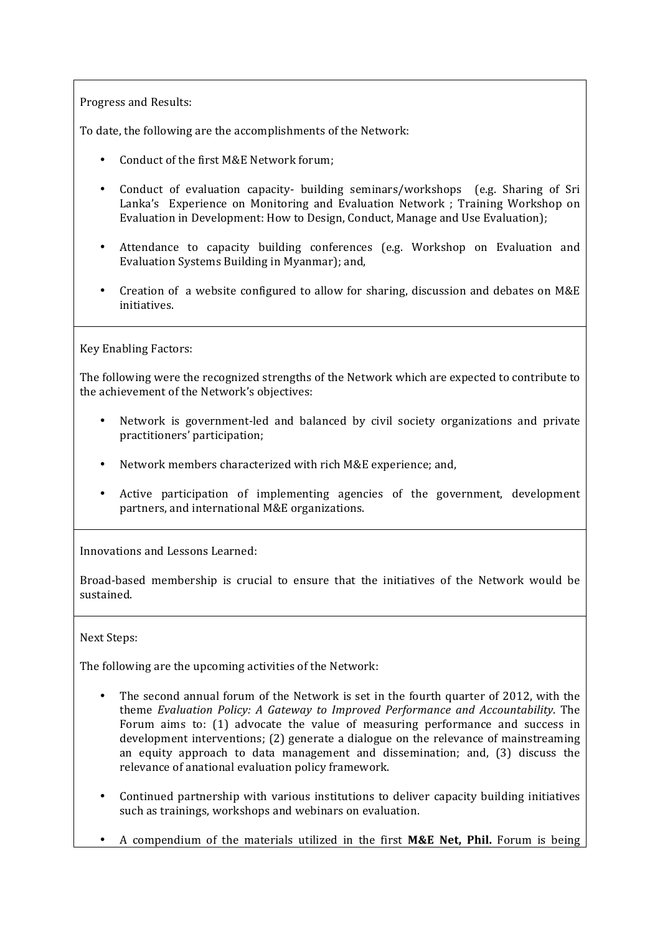Progress and Results:

To date, the following are the accomplishments of the Network:

- Conduct of the first M&E Network forum:
- Conduct of evaluation capacity- building seminars/workshops (e.g. Sharing of Sri Lanka's Experience on Monitoring and Evaluation Network ; Training Workshop on Evaluation in Development: How to Design, Conduct, Manage and Use Evaluation);
- Attendance to capacity building conferences (e.g. Workshop on Evaluation and Evaluation Systems Building in Myanmar); and,
- Creation of a website configured to allow for sharing, discussion and debates on  $M&E$ initiatives.

Key Enabling Factors:

The following were the recognized strengths of the Network which are expected to contribute to the achievement of the Network's objectives:

- Network is government-led and balanced by civil society organizations and private practitioners' participation;
- Network members characterized with rich M&E experience; and,
- Active participation of implementing agencies of the government, development partners, and international M&E organizations.

Innovations and Lessons Learned:

Broad-based membership is crucial to ensure that the initiatives of the Network would be sustained.

### Next Steps:

The following are the upcoming activities of the Network:

- The second annual forum of the Network is set in the fourth quarter of 2012, with the theme *Evaluation Policy: A Gateway to Improved Performance and Accountability*. The Forum aims to: (1) advocate the value of measuring performance and success in development interventions; (2) generate a dialogue on the relevance of mainstreaming an equity approach to data management and dissemination; and, (3) discuss the relevance of anational evaluation policy framework.
- Continued partnership with various institutions to deliver capacity building initiatives such as trainings, workshops and webinars on evaluation.
- A compendium of the materials utilized in the first **M&E Net, Phil.** Forum is being